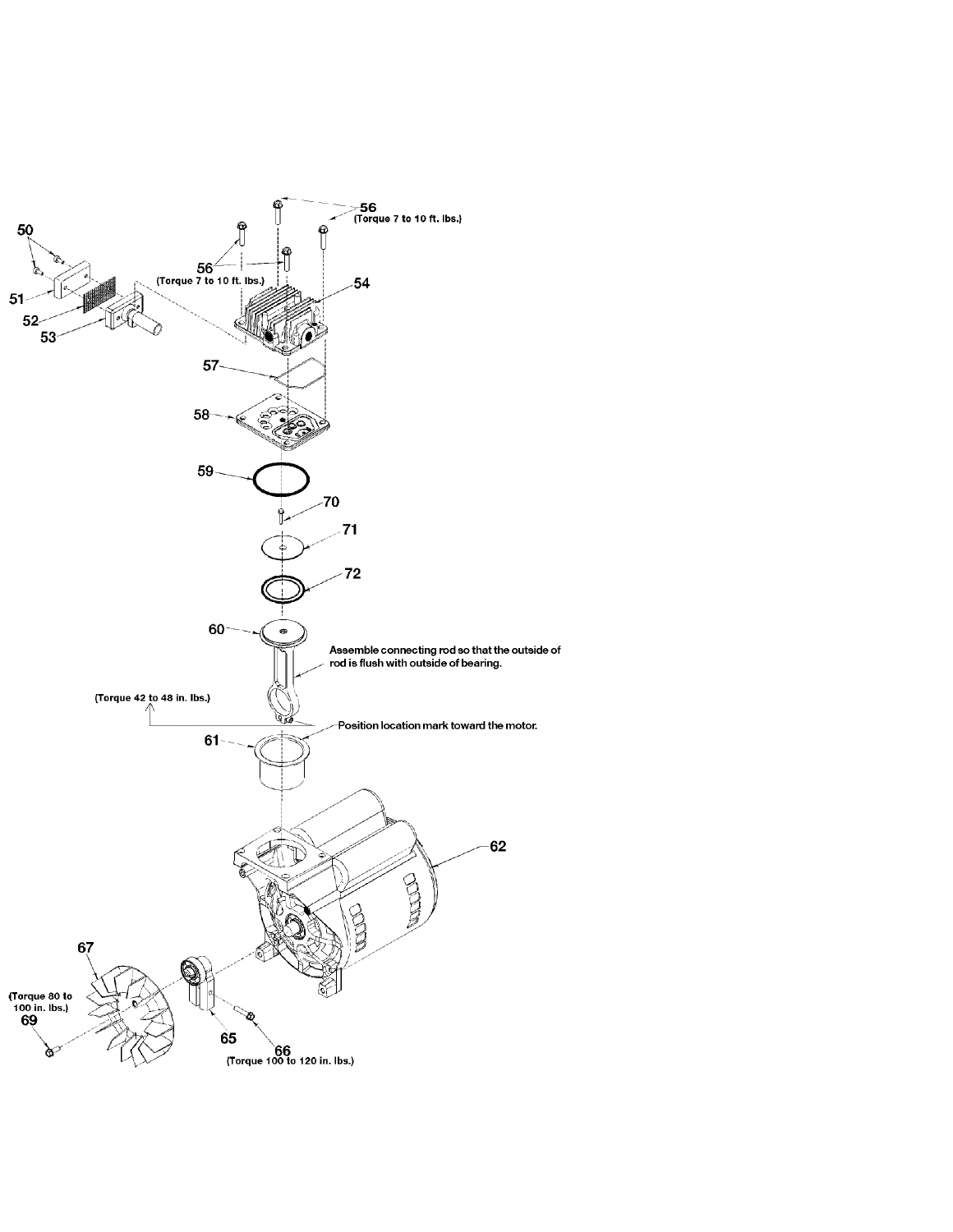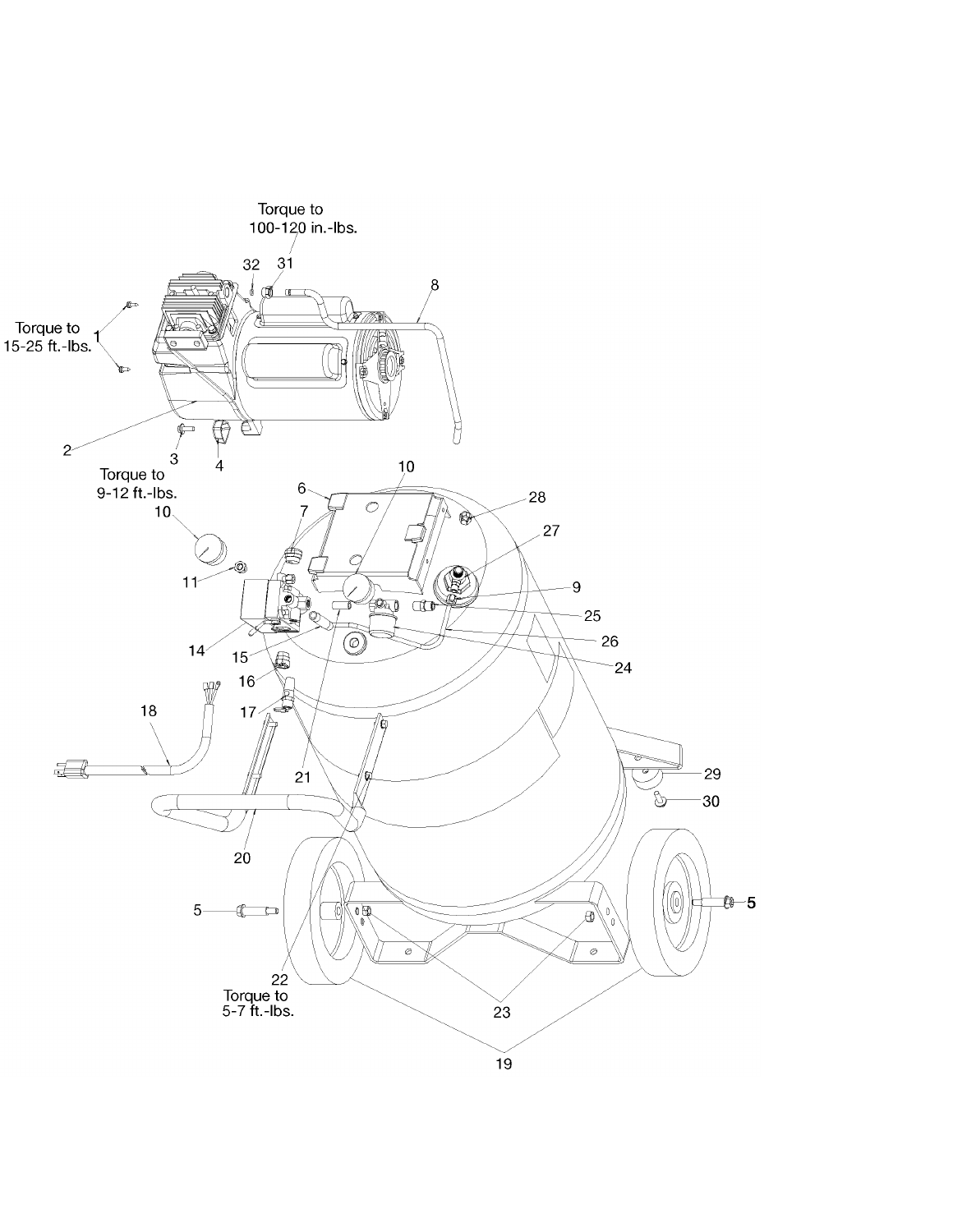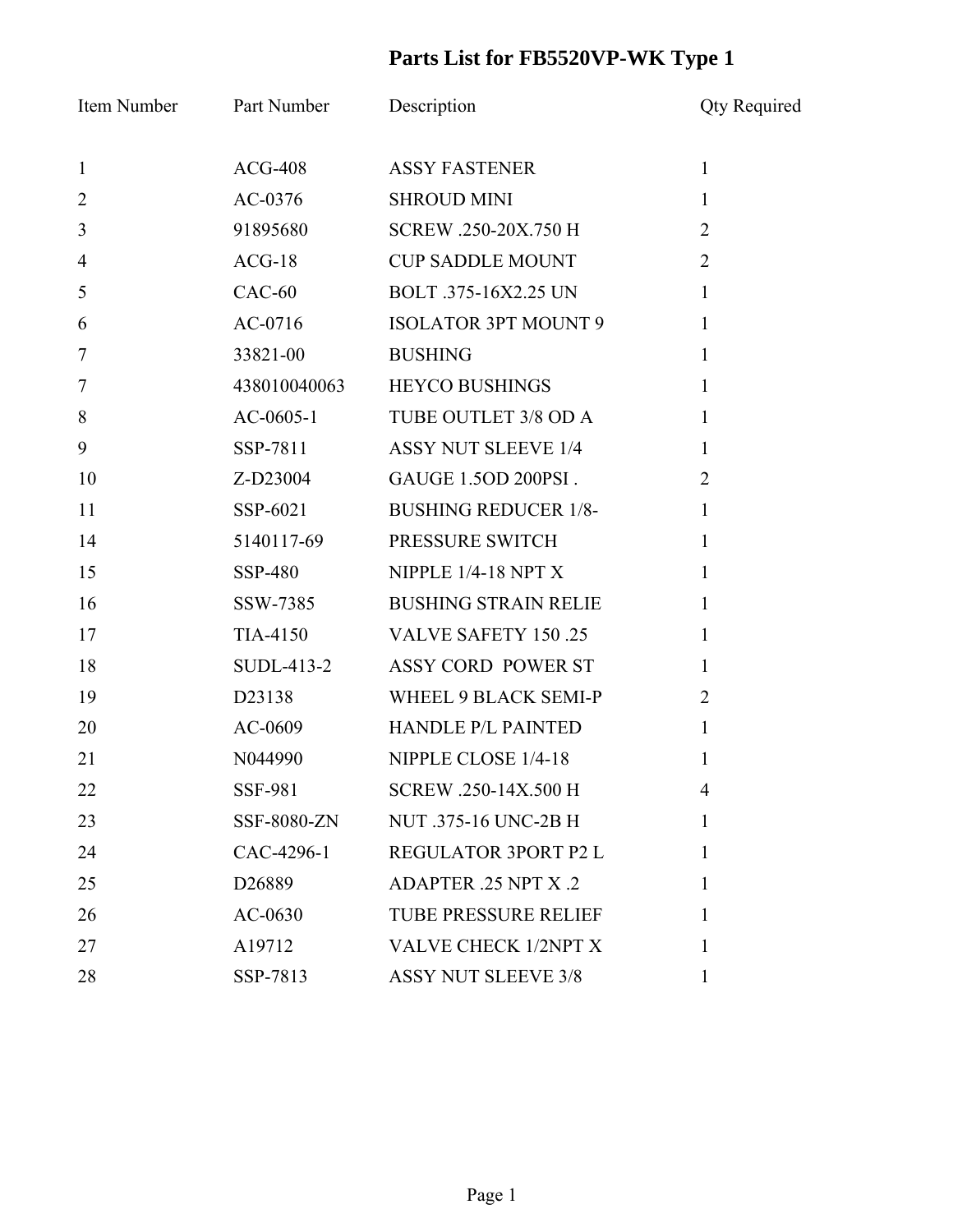## **Parts List for FB5520VP-WK Type 1**

| Item Number    | <b>Part Number</b> | Description                 | <b>Qty Required</b> |
|----------------|--------------------|-----------------------------|---------------------|
| $\mathbf{1}$   | $ACG-408$          | <b>ASSY FASTENER</b>        | $\mathbf{1}$        |
| $\overline{2}$ | AC-0376            | <b>SHROUD MINI</b>          | $\mathbf{1}$        |
| $\mathfrak{Z}$ | 91895680           | SCREW .250-20X.750 H        | $\overline{2}$      |
| $\overline{4}$ | $ACG-18$           | <b>CUP SADDLE MOUNT</b>     | $\overline{2}$      |
| 5              | $CAC-60$           | BOLT .375-16X2.25 UN        | $\mathbf{1}$        |
| 6              | $AC-0716$          | <b>ISOLATOR 3PT MOUNT 9</b> | $\mathbf{1}$        |
| $\overline{7}$ | 33821-00           | <b>BUSHING</b>              | $\mathbf{1}$        |
| $\overline{7}$ | 438010040063       | <b>HEYCO BUSHINGS</b>       | $\mathbf{1}$        |
| 8              | $AC-0605-1$        | TUBE OUTLET 3/8 OD A        | $\mathbf{1}$        |
| 9              | SSP-7811           | <b>ASSY NUT SLEEVE 1/4</b>  | $\mathbf{1}$        |
| 10             | Z-D23004           | GAUGE 1.5OD 200PSI.         | $\overline{2}$      |
| 11             | SSP-6021           | <b>BUSHING REDUCER 1/8-</b> | $\mathbf{1}$        |
| 14             | 5140117-69         | PRESSURE SWITCH             | $\mathbf{1}$        |
| 15             | SSP-480            | NIPPLE $1/4-18$ NPT X       | $\mathbf{1}$        |
| 16             | SSW-7385           | <b>BUSHING STRAIN RELIE</b> | $\mathbf{1}$        |
| 17             | TIA-4150           | <b>VALVE SAFETY 150.25</b>  | $\mathbf{1}$        |
| 18             | SUDL-413-2         | ASSY CORD POWER ST          | $\mathbf{1}$        |
| 19             | D23138             | WHEEL 9 BLACK SEMI-P        | $\overline{2}$      |
| 20             | AC-0609            | <b>HANDLE P/L PAINTED</b>   | $\mathbf{1}$        |
| 21             | N044990            | NIPPLE CLOSE 1/4-18         | 1                   |
| 22             | <b>SSF-981</b>     | SCREW .250-14X.500 H        | 4                   |
| 23             | SSF-8080-ZN        | NUT .375-16 UNC-2B H        | $\mathbf{1}$        |
| 24             | CAC-4296-1         | REGULATOR 3PORT P2 L        | 1                   |
| 25             | D <sub>26889</sub> | ADAPTER .25 NPT X .2        | 1                   |
| 26             | $AC-0630$          | <b>TUBE PRESSURE RELIEF</b> | 1                   |
| 27             | A19712             | VALVE CHECK 1/2NPT X        | 1                   |
| 28             | SSP-7813           | <b>ASSY NUT SLEEVE 3/8</b>  | $\mathbf{1}$        |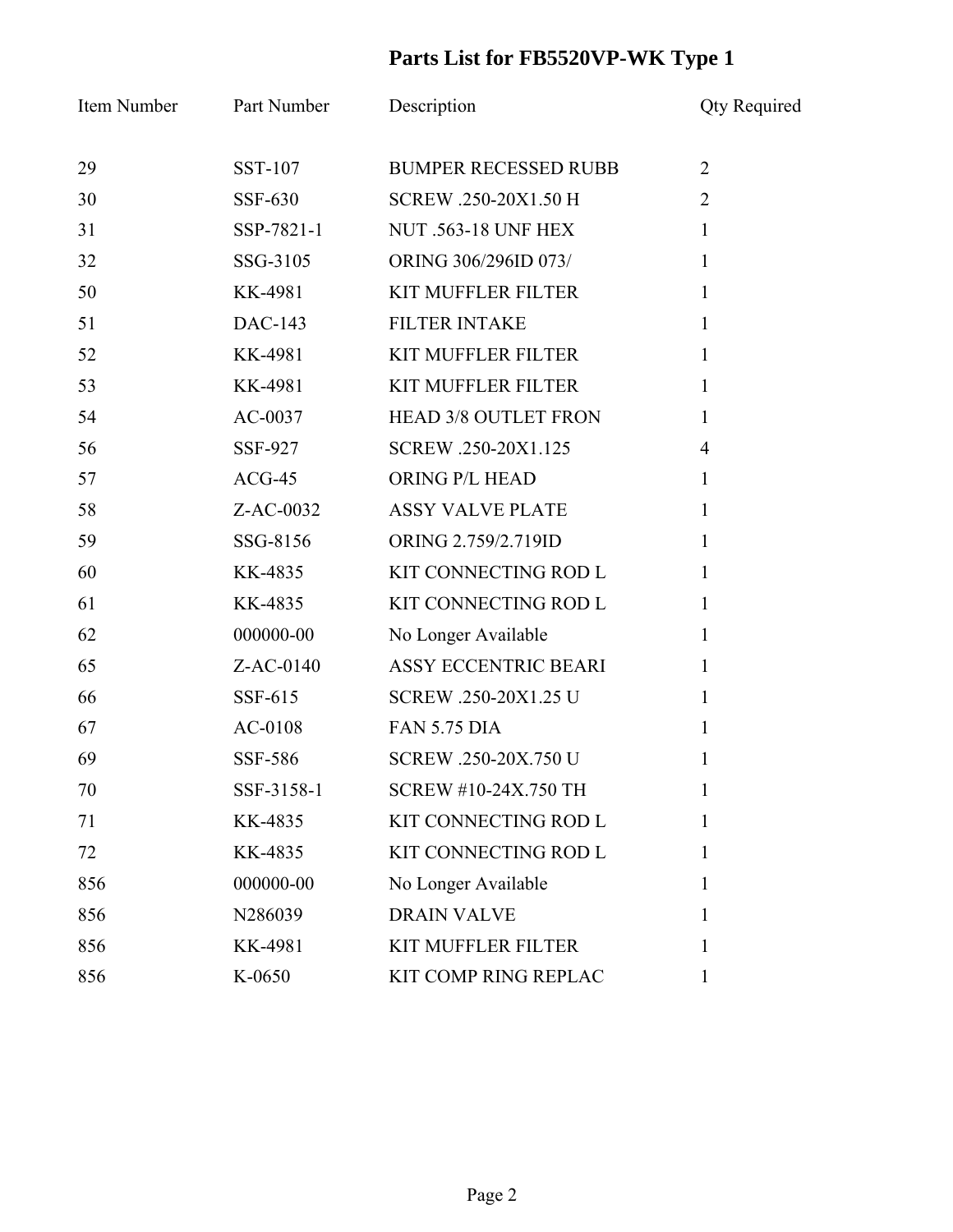## **Parts List for FB5520VP-WK Type 1**

| Item Number | Part Number | Description                 | <b>Qty Required</b> |
|-------------|-------------|-----------------------------|---------------------|
| 29          | SST-107     | <b>BUMPER RECESSED RUBB</b> | $\overline{2}$      |
| 30          | SSF-630     | SCREW .250-20X1.50 H        | $\overline{2}$      |
| 31          | SSP-7821-1  | <b>NUT .563-18 UNF HEX</b>  | $\mathbf{1}$        |
| 32          | SSG-3105    | ORING 306/296ID 073/        | $\mathbf{1}$        |
| 50          | KK-4981     | <b>KIT MUFFLER FILTER</b>   | $\mathbf{1}$        |
| 51          | DAC-143     | <b>FILTER INTAKE</b>        | $\mathbf{1}$        |
| 52          | KK-4981     | <b>KIT MUFFLER FILTER</b>   | $\mathbf{1}$        |
| 53          | KK-4981     | <b>KIT MUFFLER FILTER</b>   | $\mathbf{1}$        |
| 54          | $AC-0037$   | <b>HEAD 3/8 OUTLET FRON</b> | $\mathbf{1}$        |
| 56          | SSF-927     | SCREW .250-20X1.125         | $\overline{4}$      |
| 57          | $ACG-45$    | ORING P/L HEAD              | $\mathbf{1}$        |
| 58          | Z-AC-0032   | <b>ASSY VALVE PLATE</b>     | $\mathbf{1}$        |
| 59          | SSG-8156    | ORING 2.759/2.719ID         | $\mathbf{1}$        |
| 60          | KK-4835     | KIT CONNECTING ROD L        | $\mathbf{1}$        |
| 61          | KK-4835     | KIT CONNECTING ROD L        | $\mathbf{1}$        |
| 62          | 000000-00   | No Longer Available         | $\mathbf{1}$        |
| 65          | Z-AC-0140   | <b>ASSY ECCENTRIC BEARI</b> | $\mathbf{1}$        |
| 66          | SSF-615     | SCREW .250-20X1.25 U        | $\mathbf{1}$        |
| 67          | $AC-0108$   | <b>FAN 5.75 DIA</b>         | $\mathbf{1}$        |
| 69          | SSF-586     | SCREW .250-20X.750 U        | 1                   |
| 70          | SSF-3158-1  | <b>SCREW #10-24X.750 TH</b> |                     |
| 71          | KK-4835     | KIT CONNECTING ROD L        | 1                   |
| 72          | KK-4835     | KIT CONNECTING ROD L        | 1                   |
| 856         | 000000-00   | No Longer Available         | 1                   |
| 856         | N286039     | <b>DRAIN VALVE</b>          | 1                   |
| 856         | KK-4981     | <b>KIT MUFFLER FILTER</b>   | 1                   |
| 856         | K-0650      | KIT COMP RING REPLAC        | 1                   |